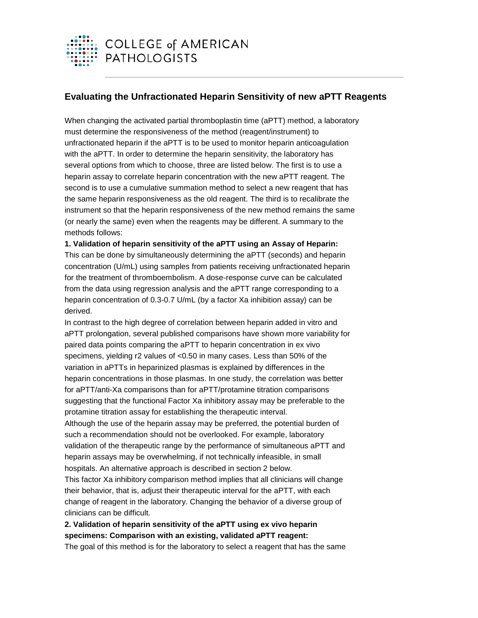

## **Evaluating the Unfractionated Heparin Sensitivity of new aPTT Reagents**

When changing the activated partial thromboplastin time (aPTT) method, a laboratory must determine the responsiveness of the method (reagent/instrument) to unfractionated heparin if the aPTT is to be used to monitor heparin anticoagulation with the aPTT. In order to determine the heparin sensitivity, the laboratory has several options from which to choose, three are listed below. The first is to use a heparin assay to correlate heparin concentration with the new aPTT reagent. The second is to use a cumulative summation method to select a new reagent that has the same heparin responsiveness as the old reagent. The third is to recalibrate the instrument so that the heparin responsiveness of the new method remains the same (or nearly the same) even when the reagents may be different. A summary to the methods follows:

**1. Validation of heparin sensitivity of the aPTT using an Assay of Heparin:** This can be done by simultaneously determining the aPTT (seconds) and heparin concentration (U/mL) using samples from patients receiving unfractionated heparin for the treatment of thromboembolism. A dose-response curve can be calculated from the data using regression analysis and the aPTT range corresponding to a heparin concentration of 0.3-0.7 U/mL (by a factor Xa inhibition assay) can be derived.

In contrast to the high degree of correlation between heparin added in vitro and aPTT prolongation, several published comparisons have shown more variability for paired data points comparing the aPTT to heparin concentration in ex vivo specimens, yielding r2 values of <0.50 in many cases. Less than 50% of the variation in aPTTs in heparinized plasmas is explained by differences in the heparin concentrations in those plasmas. In one study, the correlation was better for aPTT/anti-Xa comparisons than for aPTT/protamine titration comparisons suggesting that the functional Factor Xa inhibitory assay may be preferable to the protamine titration assay for establishing the therapeutic interval. Although the use of the heparin assay may be preferred, the potential burden of such a recommendation should not be overlooked. For example, laboratory validation of the therapeutic range by the performance of simultaneous aPTT and heparin assays may be overwhelming, if not technically infeasible, in small hospitals. An alternative approach is described in section 2 below. This factor Xa inhibitory comparison method implies that all clinicians will change

their behavior, that is, adjust their therapeutic interval for the aPTT, with each change of reagent in the laboratory. Changing the behavior of a diverse group of clinicians can be difficult.

## **2. Validation of heparin sensitivity of the aPTT using ex vivo heparin specimens: Comparison with an existing, validated aPTT reagent:**

The goal of this method is for the laboratory to select a reagent that has the same